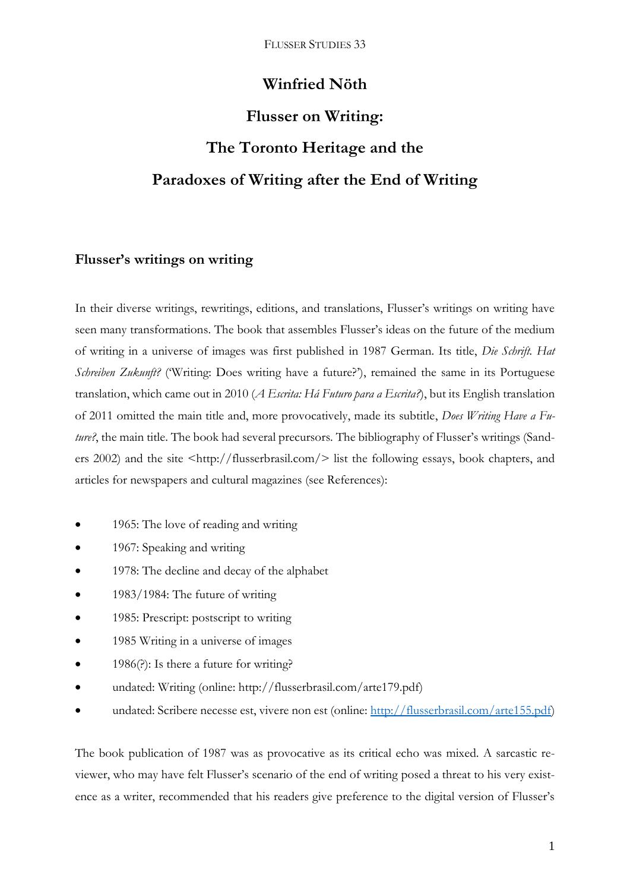## **Winfried Nöth**

# **Flusser on Writing: The Toronto Heritage and the Paradoxes of Writing after the End of Writing**

## **Flusser's writings on writing**

In their diverse writings, rewritings, editions, and translations, Flusser's writings on writing have seen many transformations. The book that assembles Flusser's ideas on the future of the medium of writing in a universe of images was first published in 1987 German. Its title, *Die Schrift. Hat Schreiben Zukunft?* ('Writing: Does writing have a future?'), remained the same in its Portuguese translation, which came out in 2010 (*A Escrita: Há Futuro para a Escrita?*), but its English translation of 2011 omitted the main title and, more provocatively, made its subtitle, *Does Writing Have a Future?*, the main title. The book had several precursors. The bibliography of Flusser's writings (Sanders 2002) and the site <http://flusserbrasil.com/> list the following essays, book chapters, and articles for newspapers and cultural magazines (see References):

- 1965: The love of reading and writing
- 1967: Speaking and writing
- 1978: The decline and decay of the alphabet
- 1983/1984: The future of writing
- 1985: Prescript: postscript to writing
- 1985 Writing in a universe of images
- $\bullet$  1986(?): Is there a future for writing?
- undated: Writing (online: http://flusserbrasil.com/arte179.pdf)
- undated: Scribere necesse est, vivere non est (online: [http://flusserbrasil.com/arte155.pdf\)](http://flusserbrasil.com/arte155.pdf)

The book publication of 1987 was as provocative as its critical echo was mixed. A sarcastic reviewer, who may have felt Flusser's scenario of the end of writing posed a threat to his very existence as a writer, recommended that his readers give preference to the digital version of Flusser's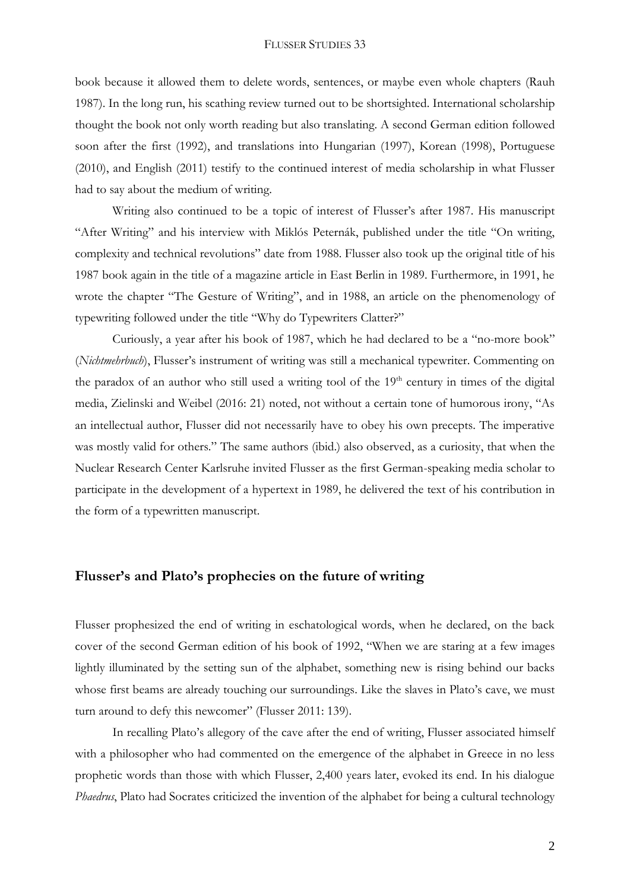book because it allowed them to delete words, sentences, or maybe even whole chapters (Rauh 1987). In the long run, his scathing review turned out to be shortsighted. International scholarship thought the book not only worth reading but also translating. A second German edition followed soon after the first (1992), and translations into Hungarian (1997), Korean (1998), Portuguese (2010), and English (2011) testify to the continued interest of media scholarship in what Flusser had to say about the medium of writing.

Writing also continued to be a topic of interest of Flusser's after 1987. His manuscript "After Writing" and his interview with Miklós Peternák, published under the title "On writing, complexity and technical revolutions" date from 1988. Flusser also took up the original title of his 1987 book again in the title of a magazine article in East Berlin in 1989. Furthermore, in 1991, he wrote the chapter "The Gesture of Writing", and in 1988, an article on the phenomenology of typewriting followed under the title "Why do Typewriters Clatter?"

Curiously, a year after his book of 1987, which he had declared to be a "no-more book" (*Nichtmehrbuch*), Flusser's instrument of writing was still a mechanical typewriter. Commenting on the paradox of an author who still used a writing tool of the  $19<sup>th</sup>$  century in times of the digital media, Zielinski and Weibel (2016: 21) noted, not without a certain tone of humorous irony, "As an intellectual author, Flusser did not necessarily have to obey his own precepts. The imperative was mostly valid for others." The same authors (ibid.) also observed, as a curiosity, that when the Nuclear Research Center Karlsruhe invited Flusser as the first German-speaking media scholar to participate in the development of a hypertext in 1989, he delivered the text of his contribution in the form of a typewritten manuscript.

## **Flusser's and Plato's prophecies on the future of writing**

Flusser prophesized the end of writing in eschatological words, when he declared, on the back cover of the second German edition of his book of 1992, "When we are staring at a few images lightly illuminated by the setting sun of the alphabet, something new is rising behind our backs whose first beams are already touching our surroundings. Like the slaves in Plato's cave, we must turn around to defy this newcomer" (Flusser 2011: 139).

In recalling Plato's allegory of the cave after the end of writing, Flusser associated himself with a philosopher who had commented on the emergence of the alphabet in Greece in no less prophetic words than those with which Flusser, 2,400 years later, evoked its end. In his dialogue *Phaedrus*, Plato had Socrates criticized the invention of the alphabet for being a cultural technology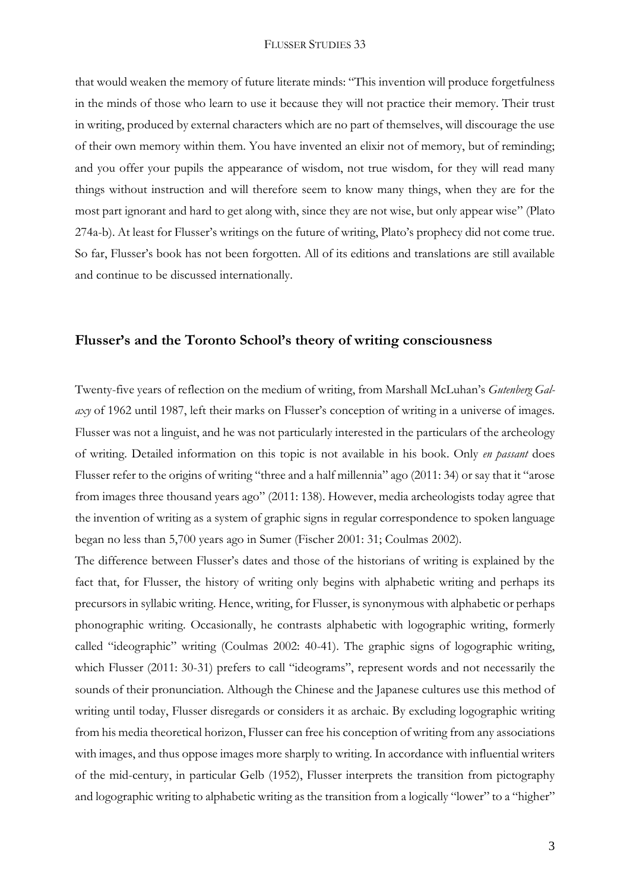that would weaken the memory of future literate minds: "This invention will produce forgetfulness in the minds of those who learn to use it because they will not practice their memory. Their trust in writing, produced by external characters which are no part of themselves, will discourage the use of their own memory within them. You have invented an elixir not of memory, but of reminding; and you offer your pupils the appearance of wisdom, not true wisdom, for they will read many things without instruction and will therefore seem to know many things, when they are for the most part ignorant and hard to get along with, since they are not wise, but only appear wise" (Plato 274a-b). At least for Flusser's writings on the future of writing, Plato's prophecy did not come true. So far, Flusser's book has not been forgotten. All of its editions and translations are still available and continue to be discussed internationally.

## **Flusser's and the Toronto School's theory of writing consciousness**

Twenty-five years of reflection on the medium of writing, from Marshall McLuhan's *Gutenberg Galaxy* of 1962 until 1987, left their marks on Flusser's conception of writing in a universe of images. Flusser was not a linguist, and he was not particularly interested in the particulars of the archeology of writing. Detailed information on this topic is not available in his book. Only *en passant* does Flusser refer to the origins of writing "three and a half millennia" ago (2011: 34) or say that it "arose from images three thousand years ago" (2011: 138). However, media archeologists today agree that the invention of writing as a system of graphic signs in regular correspondence to spoken language began no less than 5,700 years ago in Sumer (Fischer 2001: 31; Coulmas 2002).

The difference between Flusser's dates and those of the historians of writing is explained by the fact that, for Flusser, the history of writing only begins with alphabetic writing and perhaps its precursors in syllabic writing. Hence, writing, for Flusser, is synonymous with alphabetic or perhaps phonographic writing. Occasionally, he contrasts alphabetic with logographic writing, formerly called "ideographic" writing (Coulmas 2002: 40-41). The graphic signs of logographic writing, which Flusser (2011: 30-31) prefers to call "ideograms", represent words and not necessarily the sounds of their pronunciation. Although the Chinese and the Japanese cultures use this method of writing until today, Flusser disregards or considers it as archaic. By excluding logographic writing from his media theoretical horizon, Flusser can free his conception of writing from any associations with images, and thus oppose images more sharply to writing. In accordance with influential writers of the mid-century, in particular Gelb (1952), Flusser interprets the transition from pictography and logographic writing to alphabetic writing as the transition from a logically "lower" to a "higher"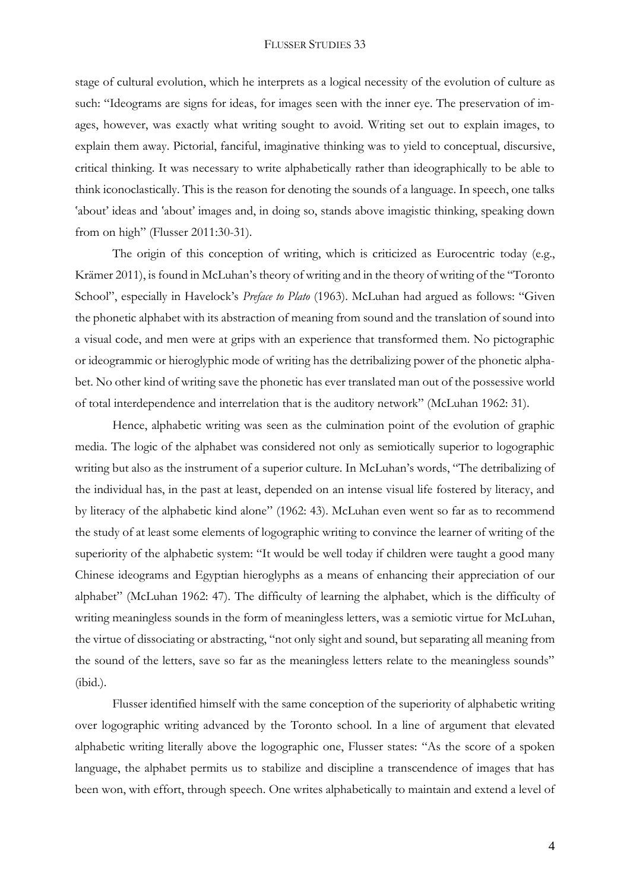stage of cultural evolution, which he interprets as a logical necessity of the evolution of culture as such: "Ideograms are signs for ideas, for images seen with the inner eye. The preservation of images, however, was exactly what writing sought to avoid. Writing set out to explain images, to explain them away. Pictorial, fanciful, imaginative thinking was to yield to conceptual, discursive, critical thinking. It was necessary to write alphabetically rather than ideographically to be able to think iconoclastically. This is the reason for denoting the sounds of a language. In speech, one talks 'about' ideas and 'about' images and, in doing so, stands above imagistic thinking, speaking down from on high" (Flusser 2011:30-31).

The origin of this conception of writing, which is criticized as Eurocentric today (e.g., Krämer 2011), is found in McLuhan's theory of writing and in the theory of writing of the "Toronto School", especially in Havelock's *Preface to Plato* (1963). McLuhan had argued as follows: "Given the phonetic alphabet with its abstraction of meaning from sound and the translation of sound into a visual code, and men were at grips with an experience that transformed them. No pictographic or ideogrammic or hieroglyphic mode of writing has the detribalizing power of the phonetic alphabet. No other kind of writing save the phonetic has ever translated man out of the possessive world of total interdependence and interrelation that is the auditory network" (McLuhan 1962: 31).

Hence, alphabetic writing was seen as the culmination point of the evolution of graphic media. The logic of the alphabet was considered not only as semiotically superior to logographic writing but also as the instrument of a superior culture. In McLuhan's words, "The detribalizing of the individual has, in the past at least, depended on an intense visual life fostered by literacy, and by literacy of the alphabetic kind alone" (1962: 43). McLuhan even went so far as to recommend the study of at least some elements of logographic writing to convince the learner of writing of the superiority of the alphabetic system: "It would be well today if children were taught a good many Chinese ideograms and Egyptian hieroglyphs as a means of enhancing their appreciation of our alphabet" (McLuhan 1962: 47). The difficulty of learning the alphabet, which is the difficulty of writing meaningless sounds in the form of meaningless letters, was a semiotic virtue for McLuhan, the virtue of dissociating or abstracting, "not only sight and sound, but separating all meaning from the sound of the letters, save so far as the meaningless letters relate to the meaningless sounds" (ibid.).

Flusser identified himself with the same conception of the superiority of alphabetic writing over logographic writing advanced by the Toronto school. In a line of argument that elevated alphabetic writing literally above the logographic one, Flusser states: "As the score of a spoken language, the alphabet permits us to stabilize and discipline a transcendence of images that has been won, with effort, through speech. One writes alphabetically to maintain and extend a level of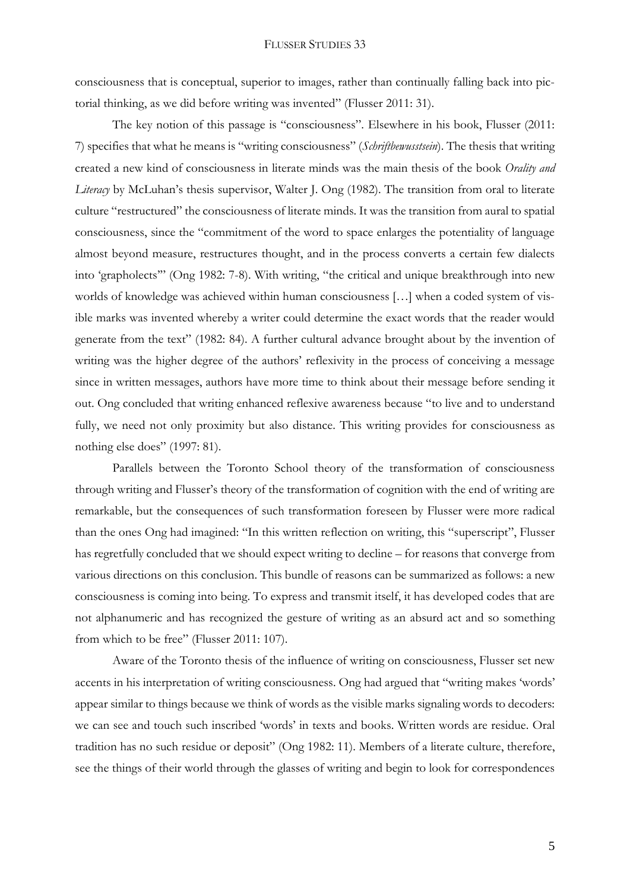consciousness that is conceptual, superior to images, rather than continually falling back into pictorial thinking, as we did before writing was invented" (Flusser 2011: 31).

The key notion of this passage is "consciousness". Elsewhere in his book, Flusser (2011: 7) specifies that what he means is "writing consciousness" (*Schriftbewusstsein*). The thesis that writing created a new kind of consciousness in literate minds was the main thesis of the book *Orality and Literacy* by McLuhan's thesis supervisor, Walter J. Ong (1982). The transition from oral to literate culture "restructured" the consciousness of literate minds. It was the transition from aural to spatial consciousness, since the "commitment of the word to space enlarges the potentiality of language almost beyond measure, restructures thought, and in the process converts a certain few dialects into 'grapholects'" (Ong 1982: 7-8). With writing, "the critical and unique breakthrough into new worlds of knowledge was achieved within human consciousness […] when a coded system of visible marks was invented whereby a writer could determine the exact words that the reader would generate from the text" (1982: 84). A further cultural advance brought about by the invention of writing was the higher degree of the authors' reflexivity in the process of conceiving a message since in written messages, authors have more time to think about their message before sending it out. Ong concluded that writing enhanced reflexive awareness because "to live and to understand fully, we need not only proximity but also distance. This writing provides for consciousness as nothing else does" (1997: 81).

Parallels between the Toronto School theory of the transformation of consciousness through writing and Flusser's theory of the transformation of cognition with the end of writing are remarkable, but the consequences of such transformation foreseen by Flusser were more radical than the ones Ong had imagined: "In this written reflection on writing, this "superscript", Flusser has regretfully concluded that we should expect writing to decline – for reasons that converge from various directions on this conclusion. This bundle of reasons can be summarized as follows: a new consciousness is coming into being. To express and transmit itself, it has developed codes that are not alphanumeric and has recognized the gesture of writing as an absurd act and so something from which to be free" (Flusser 2011: 107).

Aware of the Toronto thesis of the influence of writing on consciousness, Flusser set new accents in his interpretation of writing consciousness. Ong had argued that "writing makes 'words' appear similar to things because we think of words as the visible marks signaling words to decoders: we can see and touch such inscribed 'words' in texts and books. Written words are residue. Oral tradition has no such residue or deposit" (Ong 1982: 11). Members of a literate culture, therefore, see the things of their world through the glasses of writing and begin to look for correspondences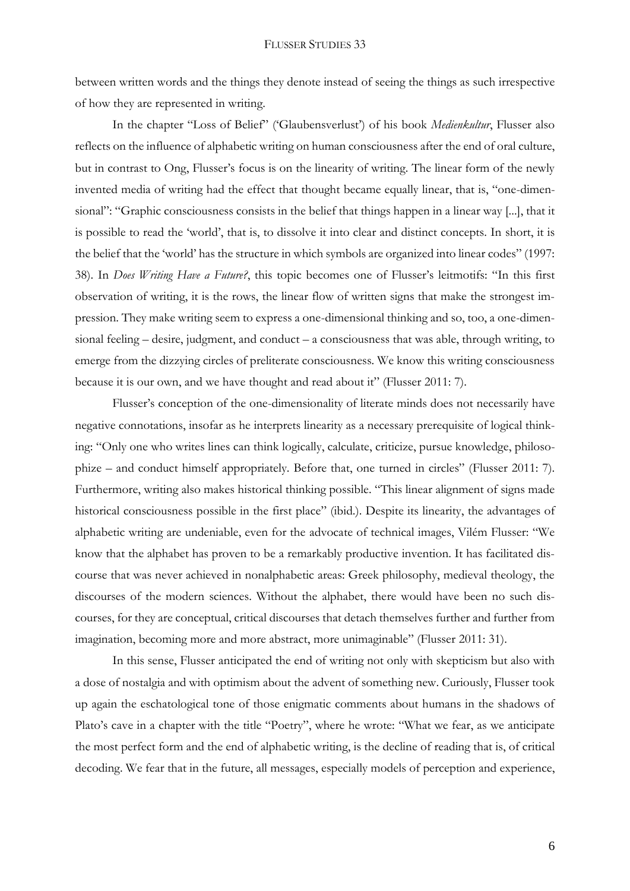between written words and the things they denote instead of seeing the things as such irrespective of how they are represented in writing.

In the chapter "Loss of Belief" ('Glaubensverlust') of his book *Medienkultur*, Flusser also reflects on the influence of alphabetic writing on human consciousness after the end of oral culture, but in contrast to Ong, Flusser's focus is on the linearity of writing. The linear form of the newly invented media of writing had the effect that thought became equally linear, that is, "one-dimensional": "Graphic consciousness consists in the belief that things happen in a linear way [...], that it is possible to read the 'world', that is, to dissolve it into clear and distinct concepts. In short, it is the belief that the 'world' has the structure in which symbols are organized into linear codes" (1997: 38). In *Does Writing Have a Future?*, this topic becomes one of Flusser's leitmotifs: "In this first observation of writing, it is the rows, the linear flow of written signs that make the strongest impression. They make writing seem to express a one-dimensional thinking and so, too, a one-dimensional feeling – desire, judgment, and conduct – a consciousness that was able, through writing, to emerge from the dizzying circles of preliterate consciousness. We know this writing consciousness because it is our own, and we have thought and read about it" (Flusser 2011: 7).

Flusser's conception of the one-dimensionality of literate minds does not necessarily have negative connotations, insofar as he interprets linearity as a necessary prerequisite of logical thinking: "Only one who writes lines can think logically, calculate, criticize, pursue knowledge, philosophize – and conduct himself appropriately. Before that, one turned in circles" (Flusser 2011: 7). Furthermore, writing also makes historical thinking possible. "This linear alignment of signs made historical consciousness possible in the first place" (ibid.). Despite its linearity, the advantages of alphabetic writing are undeniable, even for the advocate of technical images, Vilém Flusser: "We know that the alphabet has proven to be a remarkably productive invention. It has facilitated discourse that was never achieved in nonalphabetic areas: Greek philosophy, medieval theology, the discourses of the modern sciences. Without the alphabet, there would have been no such discourses, for they are conceptual, critical discourses that detach themselves further and further from imagination, becoming more and more abstract, more unimaginable" (Flusser 2011: 31).

In this sense, Flusser anticipated the end of writing not only with skepticism but also with a dose of nostalgia and with optimism about the advent of something new. Curiously, Flusser took up again the eschatological tone of those enigmatic comments about humans in the shadows of Plato's cave in a chapter with the title "Poetry", where he wrote: "What we fear, as we anticipate the most perfect form and the end of alphabetic writing, is the decline of reading that is, of critical decoding. We fear that in the future, all messages, especially models of perception and experience,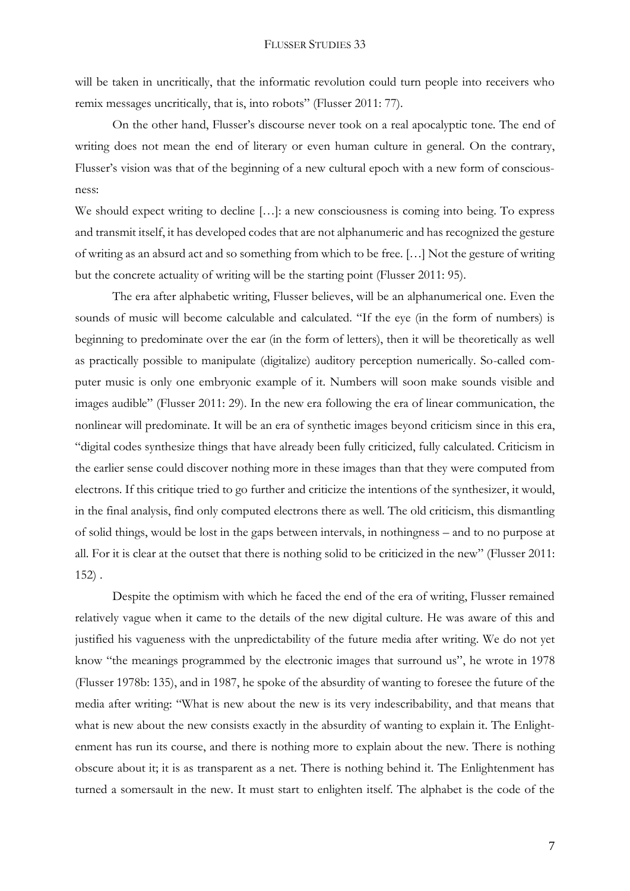will be taken in uncritically, that the informatic revolution could turn people into receivers who remix messages uncritically, that is, into robots" (Flusser 2011: 77).

On the other hand, Flusser's discourse never took on a real apocalyptic tone. The end of writing does not mean the end of literary or even human culture in general. On the contrary, Flusser's vision was that of the beginning of a new cultural epoch with a new form of consciousness:

We should expect writing to decline […]: a new consciousness is coming into being. To express and transmit itself, it has developed codes that are not alphanumeric and has recognized the gesture of writing as an absurd act and so something from which to be free. […] Not the gesture of writing but the concrete actuality of writing will be the starting point (Flusser 2011: 95).

The era after alphabetic writing, Flusser believes, will be an alphanumerical one. Even the sounds of music will become calculable and calculated. "If the eye (in the form of numbers) is beginning to predominate over the ear (in the form of letters), then it will be theoretically as well as practically possible to manipulate (digitalize) auditory perception numerically. So-called computer music is only one embryonic example of it. Numbers will soon make sounds visible and images audible" (Flusser 2011: 29). In the new era following the era of linear communication, the nonlinear will predominate. It will be an era of synthetic images beyond criticism since in this era, "digital codes synthesize things that have already been fully criticized, fully calculated. Criticism in the earlier sense could discover nothing more in these images than that they were computed from electrons. If this critique tried to go further and criticize the intentions of the synthesizer, it would, in the final analysis, find only computed electrons there as well. The old criticism, this dismantling of solid things, would be lost in the gaps between intervals, in nothingness – and to no purpose at all. For it is clear at the outset that there is nothing solid to be criticized in the new" (Flusser 2011: 152) .

Despite the optimism with which he faced the end of the era of writing, Flusser remained relatively vague when it came to the details of the new digital culture. He was aware of this and justified his vagueness with the unpredictability of the future media after writing. We do not yet know "the meanings programmed by the electronic images that surround us", he wrote in 1978 (Flusser 1978b: 135), and in 1987, he spoke of the absurdity of wanting to foresee the future of the media after writing: "What is new about the new is its very indescribability, and that means that what is new about the new consists exactly in the absurdity of wanting to explain it. The Enlightenment has run its course, and there is nothing more to explain about the new. There is nothing obscure about it; it is as transparent as a net. There is nothing behind it. The Enlightenment has turned a somersault in the new. It must start to enlighten itself. The alphabet is the code of the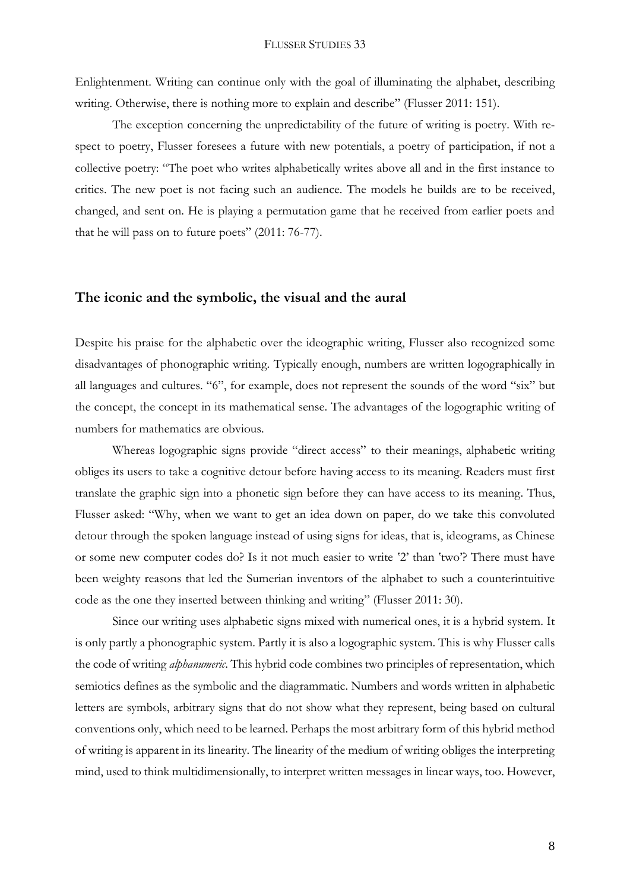Enlightenment. Writing can continue only with the goal of illuminating the alphabet, describing writing. Otherwise, there is nothing more to explain and describe" (Flusser 2011: 151).

The exception concerning the unpredictability of the future of writing is poetry. With respect to poetry, Flusser foresees a future with new potentials, a poetry of participation, if not a collective poetry: "The poet who writes alphabetically writes above all and in the first instance to critics. The new poet is not facing such an audience. The models he builds are to be received, changed, and sent on. He is playing a permutation game that he received from earlier poets and that he will pass on to future poets" (2011: 76-77).

## **The iconic and the symbolic, the visual and the aural**

Despite his praise for the alphabetic over the ideographic writing, Flusser also recognized some disadvantages of phonographic writing. Typically enough, numbers are written logographically in all languages and cultures. "6", for example, does not represent the sounds of the word "six" but the concept, the concept in its mathematical sense. The advantages of the logographic writing of numbers for mathematics are obvious.

Whereas logographic signs provide "direct access" to their meanings, alphabetic writing obliges its users to take a cognitive detour before having access to its meaning. Readers must first translate the graphic sign into a phonetic sign before they can have access to its meaning. Thus, Flusser asked: "Why, when we want to get an idea down on paper, do we take this convoluted detour through the spoken language instead of using signs for ideas, that is, ideograms, as Chinese or some new computer codes do? Is it not much easier to write '2' than 'two'? There must have been weighty reasons that led the Sumerian inventors of the alphabet to such a counterintuitive code as the one they inserted between thinking and writing" (Flusser 2011: 30).

Since our writing uses alphabetic signs mixed with numerical ones, it is a hybrid system. It is only partly a phonographic system. Partly it is also a logographic system. This is why Flusser calls the code of writing *alphanumeric*. This hybrid code combines two principles of representation, which semiotics defines as the symbolic and the diagrammatic. Numbers and words written in alphabetic letters are symbols, arbitrary signs that do not show what they represent, being based on cultural conventions only, which need to be learned. Perhaps the most arbitrary form of this hybrid method of writing is apparent in its linearity. The linearity of the medium of writing obliges the interpreting mind, used to think multidimensionally, to interpret written messages in linear ways, too. However,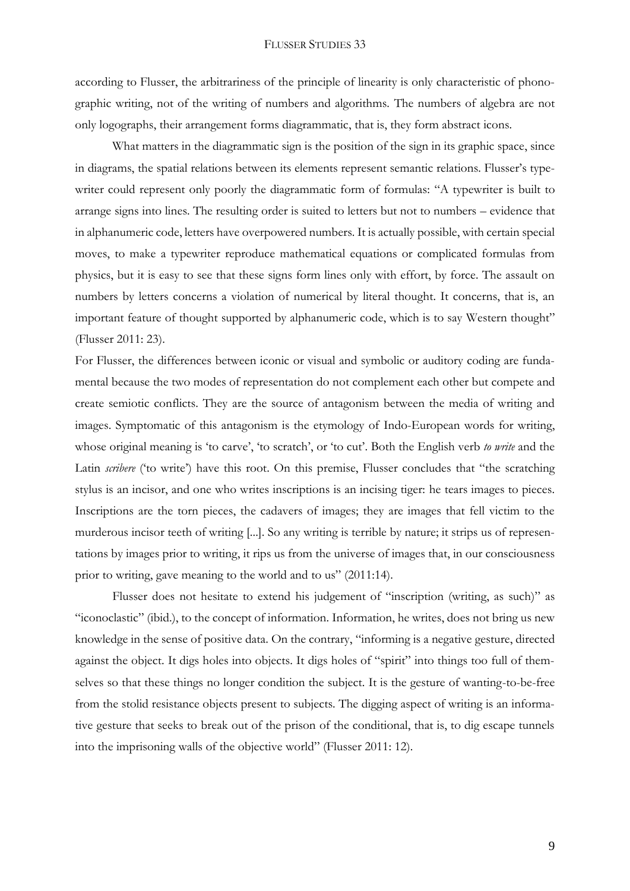according to Flusser, the arbitrariness of the principle of linearity is only characteristic of phonographic writing, not of the writing of numbers and algorithms. The numbers of algebra are not only logographs, their arrangement forms diagrammatic, that is, they form abstract icons.

What matters in the diagrammatic sign is the position of the sign in its graphic space, since in diagrams, the spatial relations between its elements represent semantic relations. Flusser's typewriter could represent only poorly the diagrammatic form of formulas: "A typewriter is built to arrange signs into lines. The resulting order is suited to letters but not to numbers – evidence that in alphanumeric code, letters have overpowered numbers. It is actually possible, with certain special moves, to make a typewriter reproduce mathematical equations or complicated formulas from physics, but it is easy to see that these signs form lines only with effort, by force. The assault on numbers by letters concerns a violation of numerical by literal thought. It concerns, that is, an important feature of thought supported by alphanumeric code, which is to say Western thought" (Flusser 2011: 23).

For Flusser, the differences between iconic or visual and symbolic or auditory coding are fundamental because the two modes of representation do not complement each other but compete and create semiotic conflicts. They are the source of antagonism between the media of writing and images. Symptomatic of this antagonism is the etymology of Indo-European words for writing, whose original meaning is 'to carve', 'to scratch', or 'to cut'. Both the English verb *to write* and the Latin *scribere* ('to write') have this root. On this premise, Flusser concludes that "the scratching stylus is an incisor, and one who writes inscriptions is an incising tiger: he tears images to pieces. Inscriptions are the torn pieces, the cadavers of images; they are images that fell victim to the murderous incisor teeth of writing [...]. So any writing is terrible by nature; it strips us of representations by images prior to writing, it rips us from the universe of images that, in our consciousness prior to writing, gave meaning to the world and to us" (2011:14).

Flusser does not hesitate to extend his judgement of "inscription (writing, as such)" as "iconoclastic" (ibid.), to the concept of information. Information, he writes, does not bring us new knowledge in the sense of positive data. On the contrary, "informing is a negative gesture, directed against the object. It digs holes into objects. It digs holes of "spirit" into things too full of themselves so that these things no longer condition the subject. It is the gesture of wanting-to-be-free from the stolid resistance objects present to subjects. The digging aspect of writing is an informative gesture that seeks to break out of the prison of the conditional, that is, to dig escape tunnels into the imprisoning walls of the objective world" (Flusser 2011: 12).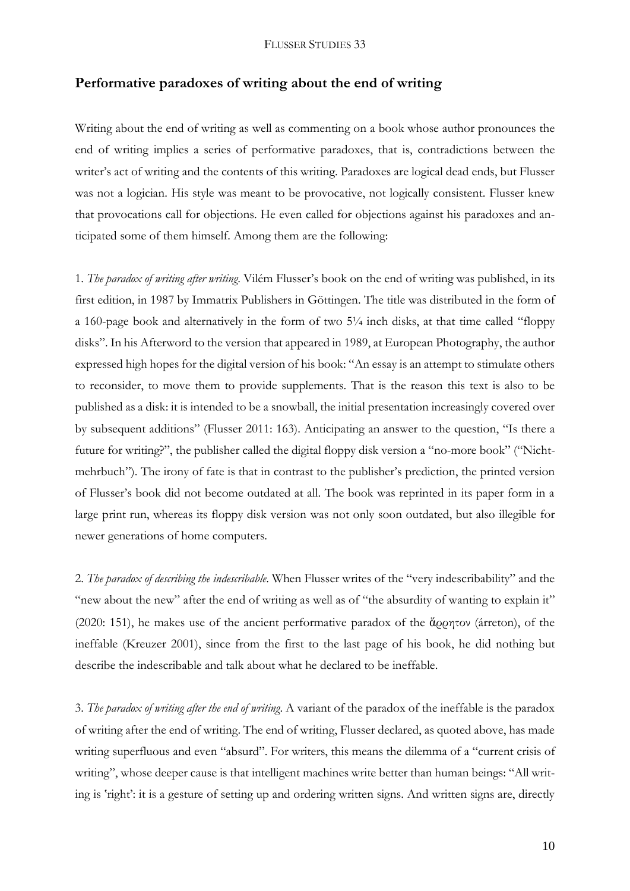## **Performative paradoxes of writing about the end of writing**

Writing about the end of writing as well as commenting on a book whose author pronounces the end of writing implies a series of performative paradoxes, that is, contradictions between the writer's act of writing and the contents of this writing. Paradoxes are logical dead ends, but Flusser was not a logician. His style was meant to be provocative, not logically consistent. Flusser knew that provocations call for objections. He even called for objections against his paradoxes and anticipated some of them himself. Among them are the following:

1. *The paradox of writing after writing*. Vilém Flusser's book on the end of writing was published, in its first edition, in 1987 by Immatrix Publishers in Göttingen. The title was distributed in the form of a 160-page book and alternatively in the form of two 5¼ inch disks, at that time called "floppy disks". In his Afterword to the version that appeared in 1989, at European Photography, the author expressed high hopes for the digital version of his book: "An essay is an attempt to stimulate others to reconsider, to move them to provide supplements. That is the reason this text is also to be published as a disk: it is intended to be a snowball, the initial presentation increasingly covered over by subsequent additions" (Flusser 2011: 163). Anticipating an answer to the question, "Is there a future for writing?", the publisher called the digital floppy disk version a "no-more book" ("Nichtmehrbuch"). The irony of fate is that in contrast to the publisher's prediction, the printed version of Flusser's book did not become outdated at all. The book was reprinted in its paper form in a large print run, whereas its floppy disk version was not only soon outdated, but also illegible for newer generations of home computers.

2. *The paradox of describing the indescribable*. When Flusser writes of the "very indescribability" and the "new about the new" after the end of writing as well as of "the absurdity of wanting to explain it" (2020: 151), he makes use of the ancient performative paradox of the ἄρρητον (árreton), of the ineffable (Kreuzer 2001), since from the first to the last page of his book, he did nothing but describe the indescribable and talk about what he declared to be ineffable.

3. *The paradox of writing after the end of writing*. A variant of the paradox of the ineffable is the paradox of writing after the end of writing. The end of writing, Flusser declared, as quoted above, has made writing superfluous and even "absurd". For writers, this means the dilemma of a "current crisis of writing", whose deeper cause is that intelligent machines write better than human beings: "All writing is 'right': it is a gesture of setting up and ordering written signs. And written signs are, directly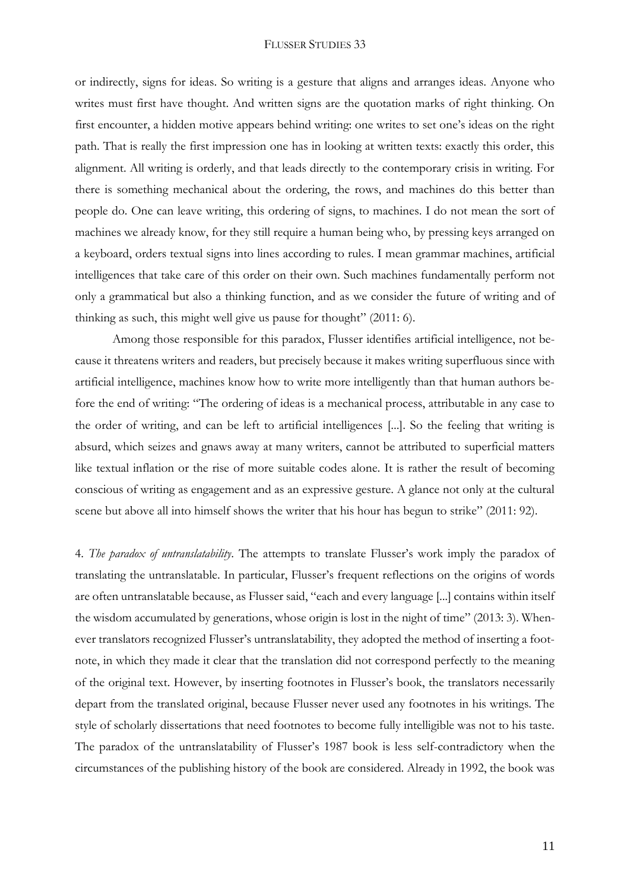or indirectly, signs for ideas. So writing is a gesture that aligns and arranges ideas. Anyone who writes must first have thought. And written signs are the quotation marks of right thinking. On first encounter, a hidden motive appears behind writing: one writes to set one's ideas on the right path. That is really the first impression one has in looking at written texts: exactly this order, this alignment. All writing is orderly, and that leads directly to the contemporary crisis in writing. For there is something mechanical about the ordering, the rows, and machines do this better than people do. One can leave writing, this ordering of signs, to machines. I do not mean the sort of machines we already know, for they still require a human being who, by pressing keys arranged on a keyboard, orders textual signs into lines according to rules. I mean grammar machines, artificial intelligences that take care of this order on their own. Such machines fundamentally perform not only a grammatical but also a thinking function, and as we consider the future of writing and of thinking as such, this might well give us pause for thought" (2011: 6).

Among those responsible for this paradox, Flusser identifies artificial intelligence, not because it threatens writers and readers, but precisely because it makes writing superfluous since with artificial intelligence, machines know how to write more intelligently than that human authors before the end of writing: "The ordering of ideas is a mechanical process, attributable in any case to the order of writing, and can be left to artificial intelligences [...]. So the feeling that writing is absurd, which seizes and gnaws away at many writers, cannot be attributed to superficial matters like textual inflation or the rise of more suitable codes alone. It is rather the result of becoming conscious of writing as engagement and as an expressive gesture. A glance not only at the cultural scene but above all into himself shows the writer that his hour has begun to strike" (2011: 92).

4. *The paradox of untranslatability*. The attempts to translate Flusser's work imply the paradox of translating the untranslatable. In particular, Flusser's frequent reflections on the origins of words are often untranslatable because, as Flusser said, "each and every language [...] contains within itself the wisdom accumulated by generations, whose origin is lost in the night of time" (2013: 3). Whenever translators recognized Flusser's untranslatability, they adopted the method of inserting a footnote, in which they made it clear that the translation did not correspond perfectly to the meaning of the original text. However, by inserting footnotes in Flusser's book, the translators necessarily depart from the translated original, because Flusser never used any footnotes in his writings. The style of scholarly dissertations that need footnotes to become fully intelligible was not to his taste. The paradox of the untranslatability of Flusser's 1987 book is less self-contradictory when the circumstances of the publishing history of the book are considered. Already in 1992, the book was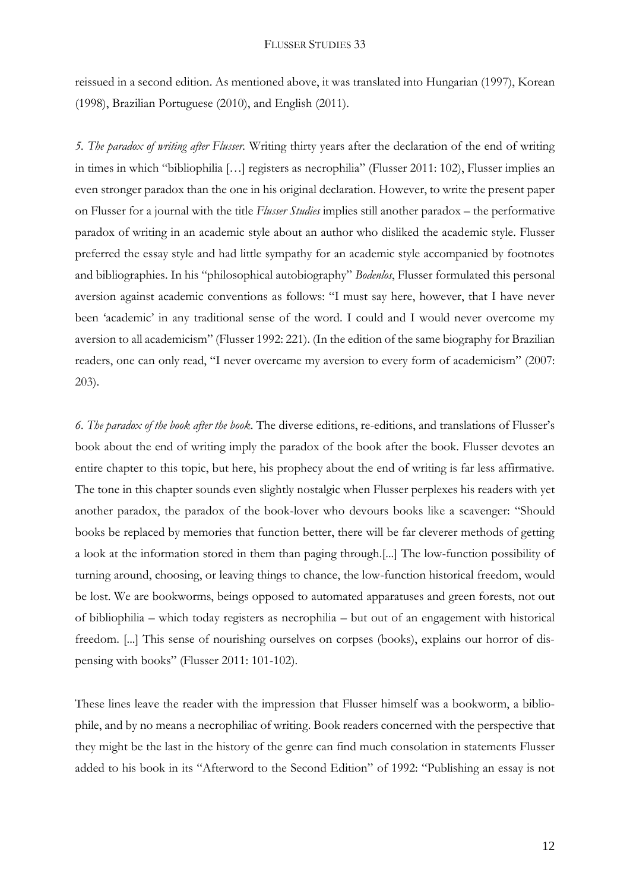reissued in a second edition. As mentioned above, it was translated into Hungarian (1997), Korean (1998), Brazilian Portuguese (2010), and English (2011).

*5. The paradox of writing after Flusser.* Writing thirty years after the declaration of the end of writing in times in which "bibliophilia […] registers as necrophilia" (Flusser 2011: 102), Flusser implies an even stronger paradox than the one in his original declaration. However, to write the present paper on Flusser for a journal with the title *Flusser Studies* implies still another paradox – the performative paradox of writing in an academic style about an author who disliked the academic style. Flusser preferred the essay style and had little sympathy for an academic style accompanied by footnotes and bibliographies. In his "philosophical autobiography" *Bodenlos*, Flusser formulated this personal aversion against academic conventions as follows: "I must say here, however, that I have never been 'academic' in any traditional sense of the word. I could and I would never overcome my aversion to all academicism" (Flusser 1992: 221). (In the edition of the same biography for Brazilian readers, one can only read, "I never overcame my aversion to every form of academicism" (2007: 203).

*6. The paradox of the book after the book*. The diverse editions, re-editions, and translations of Flusser's book about the end of writing imply the paradox of the book after the book. Flusser devotes an entire chapter to this topic, but here, his prophecy about the end of writing is far less affirmative. The tone in this chapter sounds even slightly nostalgic when Flusser perplexes his readers with yet another paradox, the paradox of the book-lover who devours books like a scavenger: "Should books be replaced by memories that function better, there will be far cleverer methods of getting a look at the information stored in them than paging through.[...] The low-function possibility of turning around, choosing, or leaving things to chance, the low-function historical freedom, would be lost. We are bookworms, beings opposed to automated apparatuses and green forests, not out of bibliophilia – which today registers as necrophilia – but out of an engagement with historical freedom. [...] This sense of nourishing ourselves on corpses (books), explains our horror of dispensing with books" (Flusser 2011: 101-102).

These lines leave the reader with the impression that Flusser himself was a bookworm, a bibliophile, and by no means a necrophiliac of writing. Book readers concerned with the perspective that they might be the last in the history of the genre can find much consolation in statements Flusser added to his book in its "Afterword to the Second Edition" of 1992: "Publishing an essay is not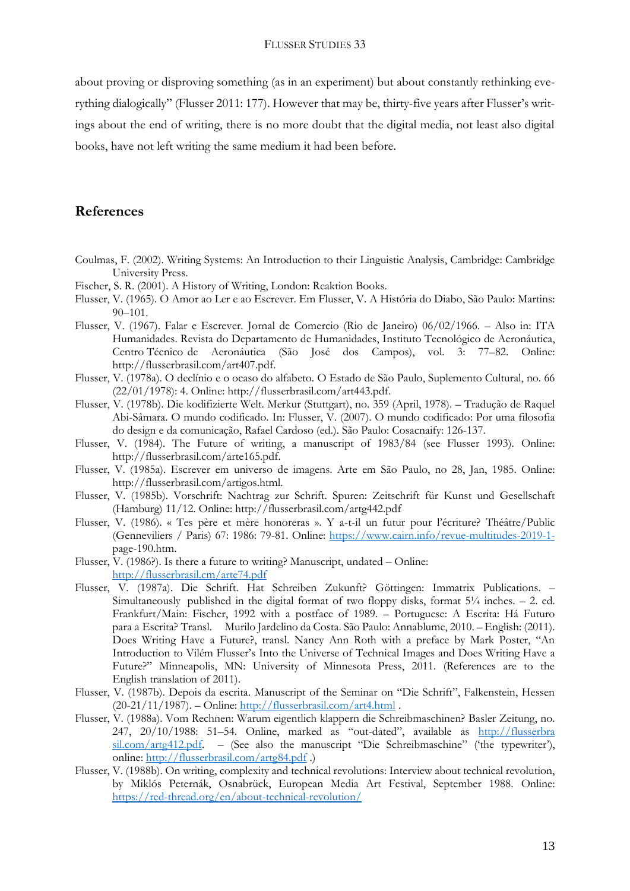about proving or disproving something (as in an experiment) but about constantly rethinking everything dialogically" (Flusser 2011: 177). However that may be, thirty-five years after Flusser's writings about the end of writing, there is no more doubt that the digital media, not least also digital books, have not left writing the same medium it had been before.

## **References**

- Coulmas, F. (2002). Writing Systems: An Introduction to their Linguistic Analysis, Cambridge: Cambridge University Press.
- Fischer, S. R. (2001). A History of Writing, London: Reaktion Books.
- Flusser, V. (1965). O Amor ao Ler e ao Escrever. Em Flusser, V. A História do Diabo, São Paulo: Martins:  $90-101$ .
- Flusser, V. (1967). Falar e Escrever. Jornal de Comercio (Rio de Janeiro) 06/02/1966. Also in: ITA Humanidades. Revista do Departamento de Humanidades, Instituto Tecnológico de Aeronáutica, Centro Técnico de Aeronáutica (São José dos Campos), vol. 3: 77–82. Online: http://flusserbrasil.com/art407.pdf.
- Flusser, V. (1978a). O declínio e o ocaso do alfabeto. O Estado de São Paulo, Suplemento Cultural, no. 66 (22/01/1978): 4. Online: http://flusserbrasil.com/art443.pdf.
- Flusser, V. (1978b). Die kodifizierte Welt. Merkur (Stuttgart), no. 359 (April, 1978). Tradução de Raquel Abi-Sâmara. O mundo codificado. In: Flusser, V. (2007). O mundo codificado: Por uma filosofia do design e da comunicação, Rafael Cardoso (ed.). São Paulo: Cosacnaify: 126-137.
- Flusser, V. (1984). The Future of writing, a manuscript of 1983/84 (see Flusser 1993). Online: http://flusserbrasil.com/arte165.pdf.
- Flusser, V. (1985a). Escrever em universo de imagens. Arte em São Paulo, no 28, Jan, 1985. Online: http://flusserbrasil.com/artigos.html.
- Flusser, V. (1985b). Vorschrift: Nachtrag zur Schrift. Spuren: Zeitschrift für Kunst und Gesellschaft (Hamburg) 11/12. Online: http://flusserbrasil.com/artg442.pdf
- Flusser, V. (1986). « Tes père et mère honoreras ». Y a-t-il un futur pour l'écriture? Théâtre/Public (Genneviliers / Paris) 67: 1986: 79-81. Online: [https://www.cairn.info/revue-multitudes-2019-1](https://www.cairn.info/revue-multitudes-2019-1-) page-190.htm.
- Flusser,  $V.$  (1986?). Is there a future to writing? Manuscript, undated Online: [http://flusserbrasil.cm/arte74.pdf](http://flusserbrasil.com/arte74.pdf)
- Flusser, V. (1987a). Die Schrift. Hat Schreiben Zukunft? Göttingen: Immatrix Publications. Simultaneously published in the digital format of two floppy disks, format  $5\frac{1}{4}$  inches.  $-2$ . ed. Frankfurt/Main: Fischer, 1992 with a postface of 1989. – Portuguese: A Escrita: Há Futuro para a Escrita? Transl. Murilo Jardelino da Costa. São Paulo: Annablume, 2010. – English: (2011). Does Writing Have a Future?, transl. Nancy Ann Roth with a preface by Mark Poster, "An Introduction to Vilém Flusser's Into the Universe of Technical Images and Does Writing Have a Future?" Minneapolis, MN: University of Minnesota Press, 2011. (References are to the English translation of 2011).
- Flusser, V. (1987b). Depois da escrita. Manuscript of the Seminar on "Die Schrift", Falkenstein, Hessen (20-21/11/1987). – Online[: http://flusserbrasil.com/art4.html](http://flusserbrasil.com/art4.html) .
- Flusser, V. (1988a). Vom Rechnen: Warum eigentlich klappern die Schreibmaschinen? Basler Zeitung, no. 247, 20/10/1988: 51–54. Online, marked as "out-dated", available as http://flusserbra sil.com/artg412.pdf. – (See also the manuscript "Die Schreibmaschine" ('the typewriter'), online:<http://flusserbrasil.com/artg84.pdf> .)
- Flusser, V. (1988b). On writing, complexity and technical revolutions: Interview about technical revolution, by Miklós Peternák, Osnabrück, European Media Art Festival, September 1988. Online: <https://red-thread.org/en/about-technical-revolution/>